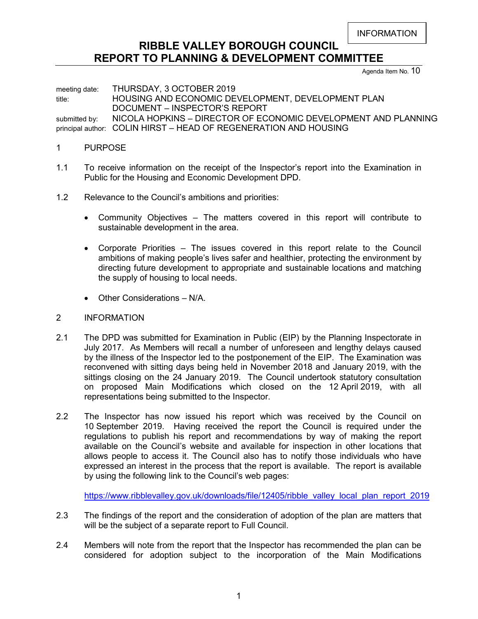INFORMATION

# **RIBBLE VALLEY BOROUGH COUNCIL REPORT TO PLANNING & DEVELOPMENT COMMITTEE**

Agenda Item No. 10

meeting date: THURSDAY, 3 OCTOBER 2019 title: **HOUSING AND ECONOMIC DEVELOPMENT, DEVELOPMENT PLAN** DOCUMENT – INSPECTOR'S REPORT submitted by: NICOLA HOPKINS – DIRECTOR OF ECONOMIC DEVELOPMENT AND PLANNING principal author: COLIN HIRST – HEAD OF REGENERATION AND HOUSING

#### 1 PURPOSE

- 1.1 To receive information on the receipt of the Inspector's report into the Examination in Public for the Housing and Economic Development DPD.
- 1.2 Relevance to the Council's ambitions and priorities:
	- Community Objectives The matters covered in this report will contribute to sustainable development in the area.
	- Corporate Priorities The issues covered in this report relate to the Council ambitions of making people's lives safer and healthier, protecting the environment by directing future development to appropriate and sustainable locations and matching the supply of housing to local needs.
	- Other Considerations N/A.
- 2 INFORMATION
- 2.1 The DPD was submitted for Examination in Public (EIP) by the Planning Inspectorate in July 2017. As Members will recall a number of unforeseen and lengthy delays caused by the illness of the Inspector led to the postponement of the EIP. The Examination was reconvened with sitting days being held in November 2018 and January 2019, with the sittings closing on the 24 January 2019. The Council undertook statutory consultation on proposed Main Modifications which closed on the 12 April 2019, with all representations being submitted to the Inspector.
- 2.2 The Inspector has now issued his report which was received by the Council on 10 September 2019. Having received the report the Council is required under the regulations to publish his report and recommendations by way of making the report available on the Council's website and available for inspection in other locations that allows people to access it. The Council also has to notify those individuals who have expressed an interest in the process that the report is available. The report is available by using the following link to the Council's web pages:

[https://www.ribblevalley.gov.uk/downloads/file/12405/ribble\\_valley\\_local\\_plan\\_report\\_2019](https://www.ribblevalley.gov.uk/downloads/file/12405/ribble_valley_local_plan_report_2019)

- 2.3 The findings of the report and the consideration of adoption of the plan are matters that will be the subject of a separate report to Full Council.
- 2.4 Members will note from the report that the Inspector has recommended the plan can be considered for adoption subject to the incorporation of the Main Modifications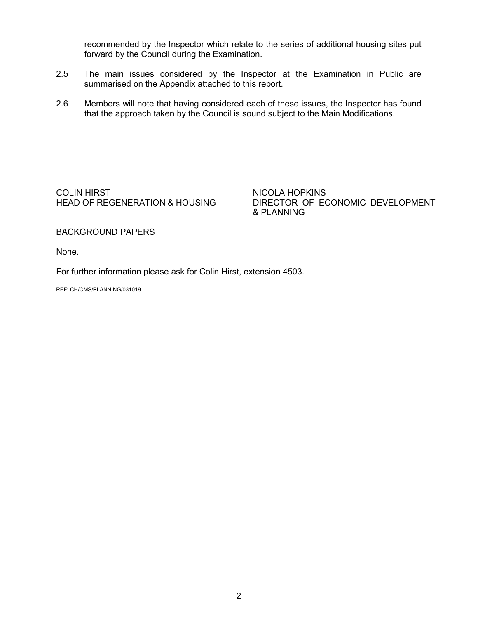recommended by the Inspector which relate to the series of additional housing sites put forward by the Council during the Examination.

- 2.5 The main issues considered by the Inspector at the Examination in Public are summarised on the Appendix attached to this report.
- 2.6 Members will note that having considered each of these issues, the Inspector has found that the approach taken by the Council is sound subject to the Main Modifications.

COLIN HIRST NICOLA HOPKINS<br>HEAD OF REGENERATION & HOUSING DIRECTOR OF EC

DIRECTOR OF ECONOMIC DEVELOPMENT & PLANNING

BACKGROUND PAPERS

None.

For further information please ask for Colin Hirst, extension 4503.

REF: CH/CMS/PLANNING/031019